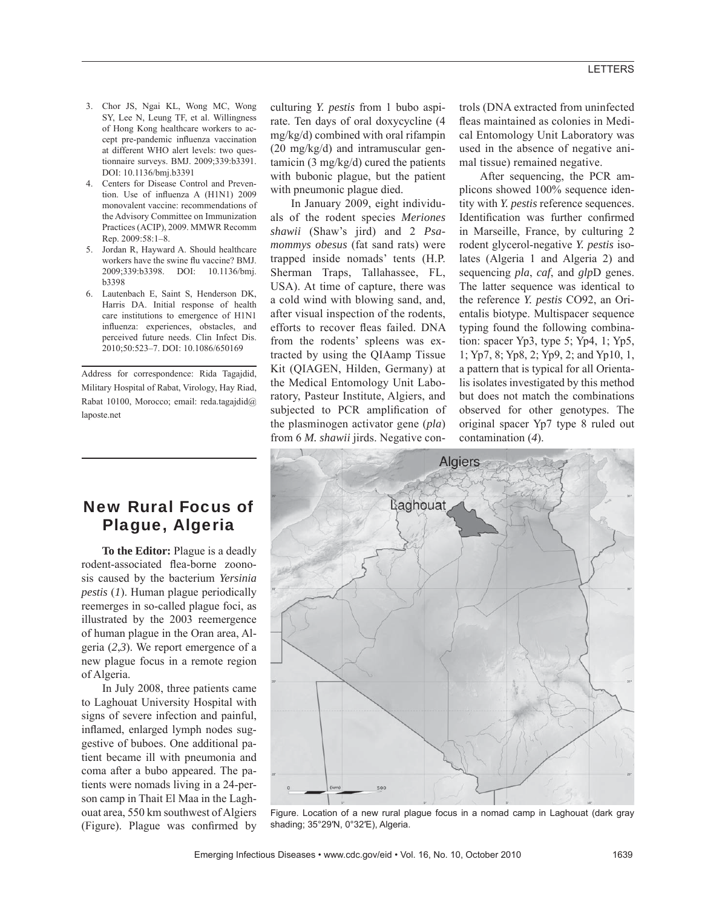## LETTERS

- 3. Chor JS, Ngai KL, Wong MC, Wong SY, Lee N, Leung TF, et al. Willingness of Hong Kong healthcare workers to accept pre-pandemic influenza vaccination at different WHO alert levels: two questionnaire surveys. BMJ. 2009;339:b3391. DOI: 10.1136/bmj.b3391
- 4. Centers for Disease Control and Prevention. Use of influenza A (H1N1) 2009 monovalent vaccine: recommendations of the Advisory Committee on Immunization Practices (ACIP), 2009. MMWR Recomm Rep. 2009:58:1–8.
- 5. Jordan R, Hayward A. Should healthcare workers have the swine flu vaccine? BMJ. 2009;339:b3398. DOI: 10.1136/bmj. b3398
- 6. Lautenbach E, Saint S, Henderson DK, Harris DA. Initial response of health care institutions to emergence of H1N1 influenza: experiences, obstacles, and perceived future needs. Clin Infect Dis. 2010;50:523–7. DOI: 10.1086/650169

Address for correspondence: Rida Tagajdid, Military Hospital of Rabat, Virology, Hay Riad, Rabat 10100, Morocco; email: reda.tagajdid@ laposte.net

culturing *Y. pestis* from 1 bubo aspirate. Ten days of oral doxycycline (4 mg/kg/d) combined with oral rifampin (20 mg/kg/d) and intramuscular gentamicin (3 mg/kg/d) cured the patients with bubonic plague, but the patient with pneumonic plague died.

In January 2009, eight individuals of the rodent species *Meriones shawii* (Shaw's jird) and 2 *Psamommys obesus* (fat sand rats) were trapped inside nomads' tents (H.P. Sherman Traps, Tallahassee, FL, USA). At time of capture, there was a cold wind with blowing sand, and, after visual inspection of the rodents, efforts to recover fleas failed. DNA from the rodents' spleens was extracted by using the QIAamp Tissue Kit (QIAGEN, Hilden, Germany) at the Medical Entomology Unit Laboratory, Pasteur Institute, Algiers, and subjected to PCR amplification of the plasminogen activator gene (*pla*) from 6 *M. shawii* jirds. Negative controls (DNA extracted from uninfected fleas maintained as colonies in Medical Entomology Unit Laboratory was used in the absence of negative animal tissue) remained negative.

After sequencing, the PCR amplicons showed 100% sequence identity with *Y. pestis* reference sequences. Identification was further confirmed in Marseille, France, by culturing 2 rodent glycerol-negative *Y. pestis* isolates (Algeria 1 and Algeria 2) and sequencing *pla*, *caf*, and *glp*D genes. The latter sequence was identical to the reference *Y. pestis* CO92, an Orientalis biotype. Multispacer sequence typing found the following combination: spacer Yp3, type 5; Yp4, 1; Yp5, 1; Yp7, 8; Yp8, 2; Yp9, 2; and Yp10, 1, a pattern that is typical for all Orientalis isolates investigated by this method but does not match the combinations observed for other genotypes. The original spacer Yp7 type 8 ruled out contamination (*4*).



Figure. Location of a new rural plague focus in a nomad camp in Laghouat (dark gray shading; 35°29′N, 0°32′E), Algeria.

# New Rural Focus of Plague, Algeria

**To the Editor:** Plague is a deadly rodent-associated flea-borne zoonosis caused by the bacterium *Yersinia pestis* (*1*). Human plague periodically reemerges in so-called plague foci, as illustrated by the 2003 reemergence of human plague in the Oran area, Algeria (*2*,*3*). We report emergence of a new plague focus in a remote region of Algeria.

In July 2008, three patients came to Laghouat University Hospital with signs of severe infection and painful, inflamed, enlarged lymph nodes suggestive of buboes. One additional patient became ill with pneumonia and coma after a bubo appeared. The patients were nomads living in a 24-person camp in Thait El Maa in the Laghouat area, 550 km southwest of Algiers (Figure). Plague was confirmed by